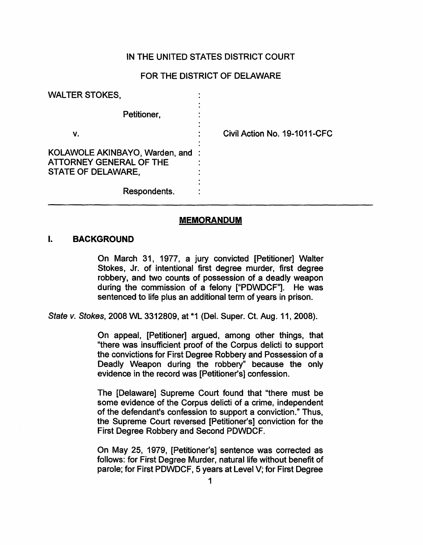## IN THE UNITED STATES DISTRICT COURT

## FOR THE DISTRICT OF DELAWARE

| <b>WALTER STOKES,</b>                                                             |                              |
|-----------------------------------------------------------------------------------|------------------------------|
| Petitioner,                                                                       |                              |
| ۷.                                                                                | Civil Action No. 19-1011-CFC |
| KOLAWOLE AKINBAYO, Warden, and :<br>ATTORNEY GENERAL OF THE<br>STATE OF DELAWARE, |                              |
| Respondents.                                                                      |                              |

#### **MEMORANDUM**

#### I. **BACKGROUND**

On March 31, 1977, a jury convicted [Petitioner] Walter Stokes, Jr. of intentional first degree murder, first degree robbery, and two counts of possession of a deadly weapon during the commission of a felony ["PDWDCF"]. He was sentenced to life plus an additional term of years in prison.

State v. Stokes, 2008 WL 3312809, at \*1 (Del. Super. Ct. Aug. 11, 2008).

On appeal, [Petitioner] argued, among other things, that "there was insufficient proof of the Corpus delicti to support the convictions for First Degree Robbery and Possession of a Deadly Weapon during the robbery" because the only evidence in the record was [Petitioner's] confession.

The [Delaware] Supreme Court found that "there must be some evidence of the Corpus delicti of a crime, independent of the defendant's confession to support a conviction." Thus, the Supreme Court reversed [Petitioner's] conviction for the First Degree Robbery and Second PDWDCF.

On May 25, 1979, [Petitioner's] sentence was corrected as follows: for First Degree Murder, natural life without benefit of parole; for First PDWDCF, 5 years at Level V; for First Degree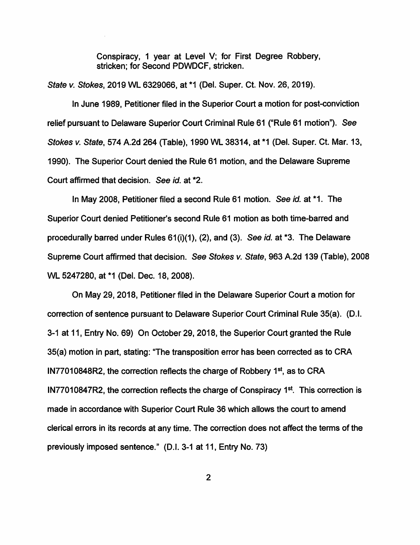Conspiracy, 1 year at Level V; for First Degree Robbery, stricken; for Second PDWDCF, stricken.

State v. Stokes, 2019 WL 6329066, at \*1 (Del. Super. Ct. Nov. 26, 2019).

In June 1989, Petitioner filed in the Superior Court a motion for post-conviction relief pursuant to Delaware Superior Court Criminal Rule 61 ("Rule 61 motion"). See Stokes v. State, 574 A.2d 264 (Table), 1990 WL 38314, at \*1 (Del. Super. Ct. Mar. 13, 1990). The Superior Court denied the Rule 61 motion, and the Delaware Supreme Court affirmed that decision. See id. at \*2.

In May 2008, Petitioner filed a second Rule 61 motion. See id. at \*1. The Superior Court denied Petitioner's second Rule 61 motion as both time-barred and procedurally barred under Rules 61(i)(1), (2), and (3). See id. at \*3. The Delaware Supreme Court affirmed that decision. See Stokes v. State, 963 A.2d 139 (Table), 2008 WL 5247280, at \*1 (Del. Dec. 18, 2008).

On May 29, 2018, Petitioner filed in the Delaware Superior Court a motion for correction of sentence pursuant to Delaware Superior Court Criminal Rule 35(a). (D.I. 3-1 at 11, Entry No. 69) On October 29, 2018, the Superior Court granted the Rule 35(a) motion in part, stating: "The transposition error has been corrected as to CRA IN77010848R2, the correction reflects the charge of Robbery  $1<sup>st</sup>$ , as to CRA IN77010847R2, the correction reflects the charge of Conspiracy  $1<sup>st</sup>$ . This correction is made in accordance with Superior Court Rule 36 which allows the court to amend clerical errors in its records at any time. The correction does not affect the terms of the previously imposed sentence." (D.I. 3-1 at 11, Entry No. 73)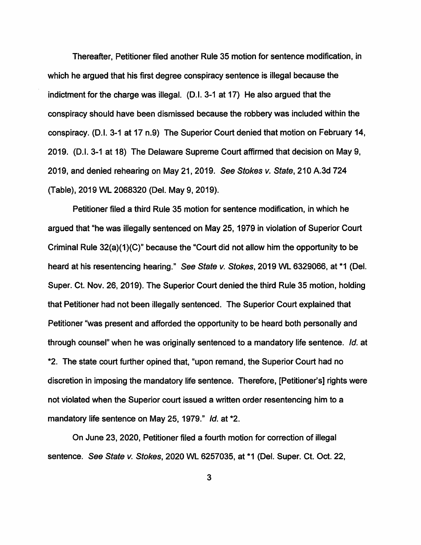Thereafter, Petitioner filed another Rule 35 motion for sentence modification, in which he argued that his first degree conspiracy sentence is illegal because the indictment for the charge was illegal. (D.I. 3-1 at 17) He also argued that the conspiracy should have been dismissed because the robbery was included within the conspiracy. (D.1. 3-1 at 17 n.9) The Superior Court denied that motion on February 14, 2019. (D.I. 3-1 at 18) The Delaware Supreme Court affirmed that decision on May 9, 2019, and denied rehearing on May 21, 2019. See Stokes v. State, 210 A.3d 724 (Table), 2019 WL 2068320 (Del. May 9, 2019).

Petitioner filed a third Rule 35 motion for sentence modification, in which he argued that "he was illegally sentenced on May 25, 1979 in violation of Superior Court Criminal Rule 32(a)(1 )(C)" because the "Court did not allow him the opportunity to be heard at his resentencing hearing." See State v. Stokes, 2019 WL 6329066, at \*1 (Del. Super. Ct. Nov. 26, 2019). The Superior Court denied the third Rule 35 motion, holding that Petitioner had not been illegally sentenced. The Superior Court explained that Petitioner "was present and afforded the opportunity to be heard both personally and through counsel" when he was originally sentenced to a mandatory life sentence. Id. at \*2. The state court further opined that, "upon remand, the Superior Court had no discretion in imposing the mandatory life sentence. Therefore, [Petitioner's] rights were not violated when the Superior court issued a written order resentencing him to a mandatory life sentence on May 25, 1979." Id. at \*2.

On June 23, 2020, Petitioner filed a fourth motion for correction of illegal sentence. See State v. Stokes, 2020 WL 6257035, at \*1 (Del. Super. Ct. Oct. 22,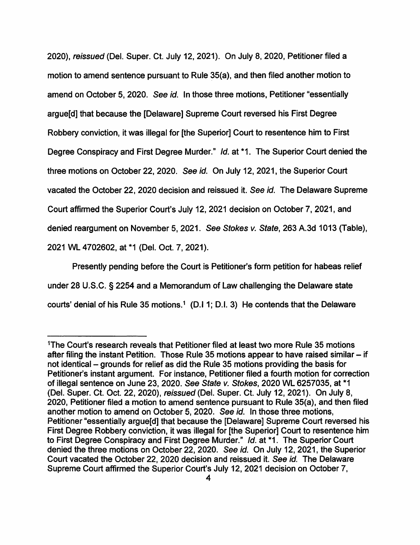2020), reissued (Del. Super. Ct. July 12, 2021). On July 8, 2020, Petitioner filed a motion to amend sentence pursuant to Rule 35(a), and then filed another motion to amend on October 5, 2020. See id. In those three motions, Petitioner "essentially argue[d] that because the [Delaware] Supreme Court reversed his First Degree Robbery conviction, it was illegal for [the Superior] Court to resentence him to First Degree Conspiracy and First Degree Murder." Id. at \*1. The Superior Court denied the three motions on October 22, 2020. See id. On July 12, 2021, the Superior Court vacated the October 22, 2020 decision and reissued it. See id. The Delaware Supreme Court affirmed the Superior Court's July 12, 2021 decision on October 7, 2021, and denied reargument on November 5, 2021. See Stokes v. State, 263 A.3d 1013 (Table), 2021 WL 4702602, at \*1 (Del. Oct. 7, 2021).

Presently pending before the Court is Petitioner's form petition for habeas relief under 28 U.S.C. § 2254 and a Memorandum of Law challenging the Delaware state courts' denial of his Rule 35 motions.<sup>1</sup> (D.I 1; D.I. 3) He contends that the Delaware

<sup>1</sup>The Court's research reveals that Petitioner filed at least two more Rule 35 motions after filing the instant Petition. Those Rule 35 motions appear to have raised similar  $-$  if not identical – grounds for relief as did the Rule 35 motions providing the basis for Petitioner's instant argument. For instance, Petitioner filed a fourth motion for correction of illegal sentence on June 23, 2020. See State v. Stokes, 2020 WL 6257035, at \*1 (Del. Super. Ct. Oct. 22, 2020), reissued (Del. Super. Ct. July 12, 2021). On July 8, 2020, Petitioner filed a motion to amend sentence pursuant to Rule 35(a), and then filed another motion to amend on October 5, 2020. See id. In those three motions, Petitioner "essentially argue[d] that because the [Delaware] Supreme Court reversed his First Degree Robbery conviction, it was illegal for [the Superior] Court to resentence him to First Degree Conspiracy and First Degree Murder." Id. at \*1. The Superior Court denied the three motions on October 22, 2020. See id. On July 12, 2021, the Superior Court vacated the October 22, 2020 decision and reissued it. See id. The Delaware Supreme Court affirmed the Superior Court's July 12, 2021 decision on October 7,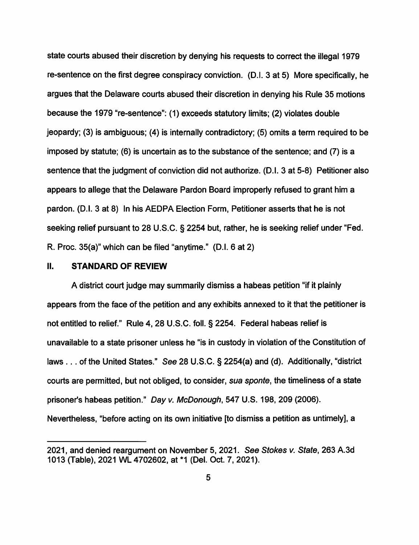state courts abused their discretion by denying his requests to correct the illegal 1979 re-sentence on the first degree conspiracy conviction. (D.I. 3 at 5) More specifically, he argues that the Delaware courts abused their discretion in denying his Rule 35 motions because the 1979 "re-sentence": ( 1) exceeds statutory limits; (2) violates double jeopardy; (3) is ambiguous; (4) is internally contradictory; (5) omits a term required to be imposed by statute; (6) is uncertain as to the substance of the sentence; and (7) is a sentence that the judgment of conviction did not authorize. (D.I. 3 at 5-8) Petitioner also appears to allege that the Delaware Pardon Board improperly refused to grant him a pardon. (D.I. 3 at 8) In his AEDPA Election Form, Petitioner asserts that he is not seeking relief pursuant to 28 U.S.C. § 2254 but, rather, he is seeking relief under "Fed. R. Proc. 35(a)" which can be filed "anytime." (D.I. 6 at 2)

## II. **STANDARD OF REVIEW**

A district court judge may summarily dismiss a habeas petition "if it plainly appears from the face of the petition and any exhibits annexed to it that the petitioner is not entitled to relief." Rule 4, 28 U.S.C. foll.§ 2254. Federal habeas relief is unavailable to a state prisoner unless he "is in custody in violation of the Constitution of laws ... of the United States." See 28 U.S.C. § 2254(a) and (d). Additionally, "district courts are permitted, but not obliged, to consider, sua sponte, the timeliness of a state prisoner's habeas petition." Day v. McDonough, 547 U.S. 198, 209 (2006). Nevertheless, "before acting on its own initiative [to dismiss a petition as untimely], a

<sup>2021,</sup> and denied reargument on November 5, 2021. See Stokes v. State, 263 A.3d 1013 (Table), 2021 WL 4702602, at \*1 (Del. Oct. 7, 2021).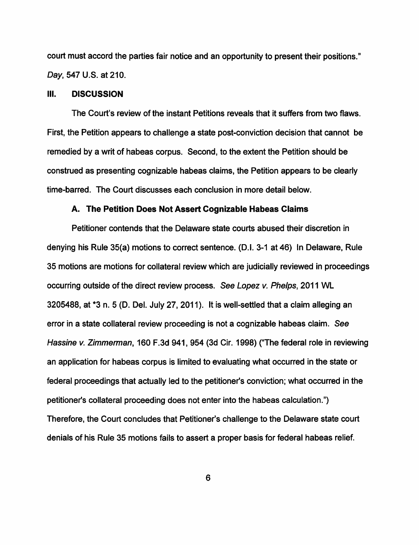court must accord the parties fair notice and an opportunity to present their positions." Day, 547 U.S. at 210.

#### Ill. **DISCUSSION**

The Court's review of the instant Petitions reveals that it suffers from two flaws. First, the Petition appears to challenge a state post-conviction decision that cannot be remedied by a writ of habeas corpus. Second, to the extent the Petition should be construed as presenting cognizable habeas claims, the Petition appears to be clearly time-barred. The Court discusses each conclusion in more detail below.

### **A. The Petition Does Not Assert Cognizable Habeas Claims**

Petitioner contends that the Delaware state courts abused their discretion in denying his Rule 35(a) motions to correct sentence. (D.1. 3-1 at 46) In Delaware, Rule 35 motions are motions for collateral review which are judicially reviewed in proceedings occurring outside of the direct review process. See Lopez v. Phelps, 2011 WL 3205488, at \*3 n. 5 (D. Del. July 27, 2011). It is well-settled that a claim alleging an error in a state collateral review proceeding is not a cognizable habeas claim. See Hassine v. Zimmerman, 160 F.3d 941, 954 (3d Cir. 1998) ("The federal role in reviewing an application for habeas corpus is limited to evaluating what occurred in the state or federal proceedings that actually led to the petitioner's conviction; what occurred in the petitioner's collateral proceeding does not enter into the habeas calculation.") Therefore, the Court concludes that Petitioner's challenge to the Delaware state court denials of his Rule 35 motions fails to assert a proper basis for federal habeas relief.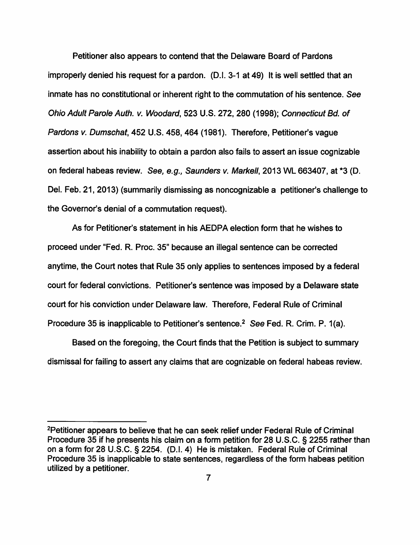Petitioner also appears to contend that the Delaware Board of Pardons improperly denied his request for a pardon. (D.I. 3-1 at 49) It is well settled that an inmate has no constitutional or inherent right to the commutation of his sentence. See Ohio Adult Parole Auth. v. Woodard, 523 U.S. 272, 280 (1998); Connecticut Bd. of Pardons *v.* Dumschat, 452 U.S. 458,464 (1981). Therefore, Petitioner's vague assertion about his inability to obtain a pardon also fails to assert an issue cognizable on federal habeas review. See, e.g., Saunders *v.* Markell, 2013 WL 663407, at \*3 (D. Del. Feb. 21, 2013) (summarily dismissing as noncognizable a petitioner's challenge to the Governor's denial of a commutation request).

As for Petitioner's statement in his AEDPA election form that he wishes to proceed under "Fed. R. Proc. 35" because an illegal sentence can be corrected anytime, the Court notes that Rule 35 only applies to sentences imposed by a federal court for federal convictions. Petitioner's sentence was imposed by a Delaware state court for his conviction under Delaware law. Therefore, Federal Rule of Criminal Procedure 35 is inapplicable to Petitioner's sentence.<sup>2</sup> See Fed. R. Crim. P. 1(a).

Based on the foregoing, the Court finds that the Petition is subject to summary dismissal for failing to assert any claims that are cognizable on federal habeas review.

<sup>2</sup>Petitioner appears to believe that he can seek relief under Federal Rule of Criminal Procedure 35 if he presents his claim on a form petition for 28 U.S.C. § 2255 rather than on a form for 28 U.S.C. § 2254. (D.I. 4) He is mistaken. Federal Rule of Criminal Procedure 35 is inapplicable to state sentences, regardless of the form habeas petition utilized by a petitioner.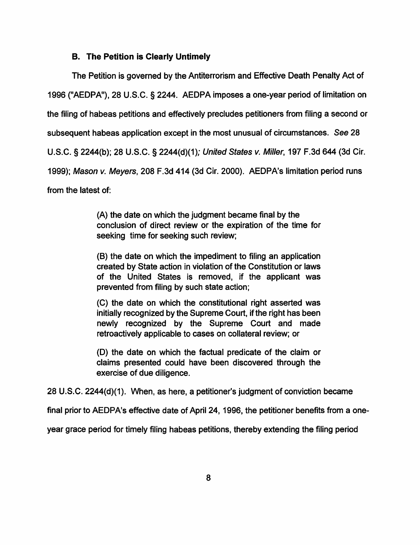### **B. The Petition is Clearly Untimely**

The Petition is governed by the Antiterrorism and Effective Death Penalty Act of 1996 ("AEDPA"), 28 U.S.C. § 2244. AEDPA imposes a one-year period of limitation on the filing of habeas petitions and effectively precludes petitioners from filing a second or subsequent habeas application except in the most unusual of circumstances. See 28 U.S.C. § 2244(b); 28 U.S.C. § 2244(d)(1); United States v. Miller, 197 F.3d 644 (3d Cir. 1999); Mason v. Meyers, 208 F.3d 414 (3d Cir. 2000). AEDPA's limitation period runs from the latest of:

> (A) the date on which the judgment became final by the conclusion of direct review or the expiration of the time for seeking time for seeking such review;

> (8) the date on which the impediment to filing an application created by State action in violation of the Constitution or laws of the United States is removed, if the applicant was prevented from filing by such state action;

> (C) the date on which the constitutional right asserted was initially recognized by the Supreme Court, if the right has been newly recognized by the Supreme Court and made retroactively applicable to cases on collateral review; or

> (D) the date on which the factual predicate of the claim or claims presented could have been discovered through the exercise of due diligence.

28 U.S.C. 2244(d)(1 ). When, as here, a petitioner's judgment of conviction became

final prior to AEDPA's effective date of April 24, 1996, the petitioner benefits from a one-

year grace period for timely filing habeas petitions, thereby extending the filing period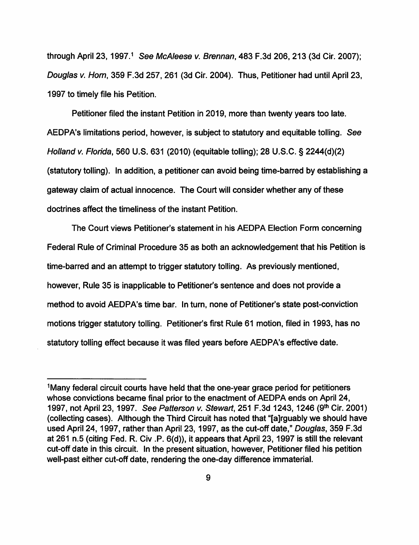through April 23, 1997.<sup>1</sup> See McAleese v. Brennan, 483 F.3d 206, 213 (3d Cir. 2007); Douglas v. Hom, 359 F.3d 257, 261 (3d Cir. 2004). Thus, Petitioner had until April 23, 1997 to timely file his Petition.

Petitioner filed the instant Petition in 2019, more than twenty years too late. AEDPA's limitations period, however, is subject to statutory and equitable tolling. See Holland v. Florida, 560 U.S. 631 (2010) (equitable tolling); 28 U.S.C. § 2244(d)(2) (statutory tolling). In addition, a petitioner can avoid being time-barred by establishing a gateway claim of actual innocence. The Court will consider whether any of these doctrines affect the timeliness of the instant Petition.

The Court views Petitioner's statement in his AEDPA Election Form concerning Federal Rule of Criminal Procedure 35 as both an acknowledgement that his Petition is time-barred and an attempt to trigger statutory tolling. As previously mentioned, however, Rule 35 is inapplicable to Petitioner's sentence and does not provide a method to avoid AEDPA's time bar. In turn, none of Petitioner's state post-conviction motions trigger statutory tolling. Petitioner's first Rule 61 motion, filed in 1993, has no statutory tolling effect because it was filed years before AEDPA's effective date.

<sup>&</sup>lt;sup>1</sup>Many federal circuit courts have held that the one-year grace period for petitioners whose convictions became final prior to the enactment of AEDPA ends on April 24, 1997, not April 23, 1997. See Patterson v. Stewart, 251 F.3d 1243, 1246 (9th Cir. 2001) (collecting cases). Although the Third Circuit has noted that "[a]rguably we should have used April 24, 1997, rather than April 23, 1997, as the cut-off date," Douglas, 359 F.3d at 261 n.5 (citing Fed. R. Civ .P. 6(d)), it appears that April 23, 1997 is still the relevant cut-off date in this circuit. In the present situation, however, Petitioner filed his petition well-past either cut-off date, rendering the one-day difference immaterial.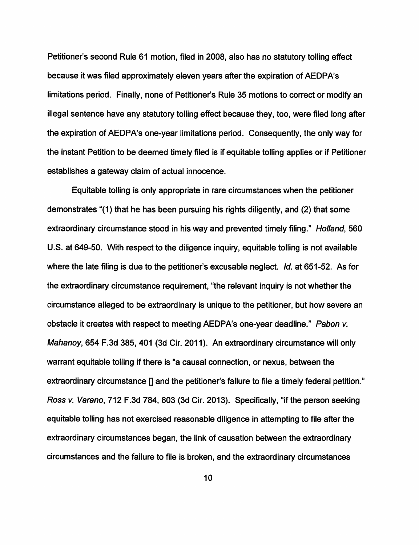Petitioner's second Rule 61 motion, filed in 2008, also has no statutory tolling effect because it was filed approximately eleven years after the expiration of AEDPA's limitations period. Finally, none of Petitioner's Rule 35 motions to correct or modify an illegal sentence have any statutory tolling effect because they, too, were filed long after the expiration of AEDPA's one-year limitations period. Consequently, the only way for the instant Petition to be deemed timely filed is if equitable tolling applies or if Petitioner establishes a gateway claim of actual innocence.

Equitable tolling is only appropriate in rare circumstances when the petitioner demonstrates "(1) that he has been pursuing his rights diligently, and (2) that some extraordinary circumstance stood in his way and prevented timely filing." Holland, 560 U.S. at 649-50. With respect to the diligence inquiry, equitable tolling is not available where the late filing is due to the petitioner's excusable neglect. Id. at 651-52. As for the extraordinary circumstance requirement, "the relevant inquiry is not whether the circumstance alleged to be extraordinary is unique to the petitioner, but how severe an obstacle it creates with respect to meeting AEDPA's one-year deadline." Pabon v. Mahanoy, 654 F.3d 385, 401 (3d Cir. 2011). An extraordinary circumstance will only warrant equitable tolling if there is "a causal connection, or nexus, between the extraordinary circumstance [] and the petitioner's failure to file a timely federal petition." Ross v. Varano, 712 F.3d 784, 803 (3d Cir. 2013). Specifically, "if the person seeking equitable tolling has not exercised reasonable diligence in attempting to file after the extraordinary circumstances began, the link of causation between the extraordinary circumstances and the failure to file is broken, and the extraordinary circumstances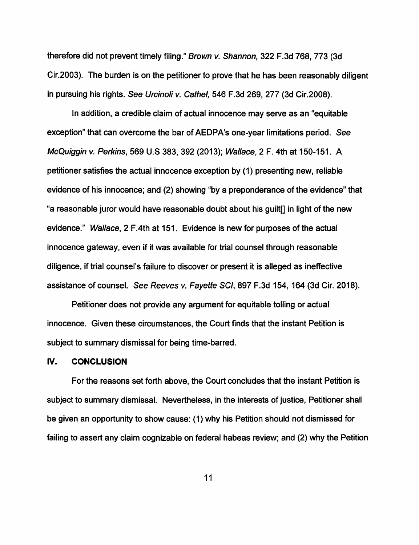therefore did not prevent timely filing." Brown v. Shannon, 322 F.3d 768, 773 (3d Cir.2003). The burden is on the petitioner to prove that he has been reasonably diligent in pursuing his rights. See Urcinoli v. Cathel, 546 F.3d 269, 277 (3d Cir.2008).

In addition, a credible claim of actual innocence may serve as an "equitable exception" that can overcome the bar of AEDPA's one-year limitations period. See McQuiggin v. Perkins, 569 U.S 383, 392 (2013); Wallace, 2 F. 4th at 150-151. A petitioner satisfies the actual innocence exception by (1) presenting new, reliable evidence of his innocence; and (2) showing "by a preponderance of the evidence" that "a reasonable juror would have reasonable doubt about his guilt[] in light of the new evidence." Wallace, 2 F.4th at 151. Evidence is new for purposes of the actual innocence gateway, even if it was available for trial counsel through reasonable diligence, if trial counsel's failure to discover or present it is alleged as ineffective assistance of counsel. See Reeves v. Fayette SCI, 897 F.3d 154, 164 (3d Cir. 2018).

Petitioner does not provide any argument for equitable tolling or actual innocence. Given these circumstances, the Court finds that the instant Petition is subject to summary dismissal for being time-barred.

### **IV. CONCLUSION**

For the reasons set forth above, the Court concludes that the instant Petition is subject to summary dismissal. Nevertheless, in the interests of justice, Petitioner shall be given an opportunity to show cause: (1) why his Petition should not dismissed for failing to assert any claim cognizable on federal habeas review; and (2) why the Petition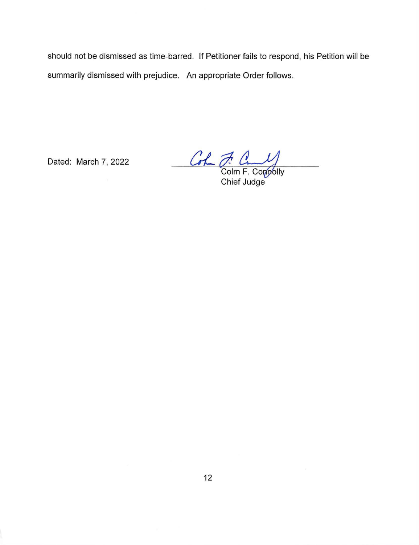should not be dismissed as time-barred. If Petitioner fails to respond, his Petition will be summarily dismissed with prejudice. An appropriate Order follows.

Dated: March 7, 2022

Colm F. Connolly Chief Judge